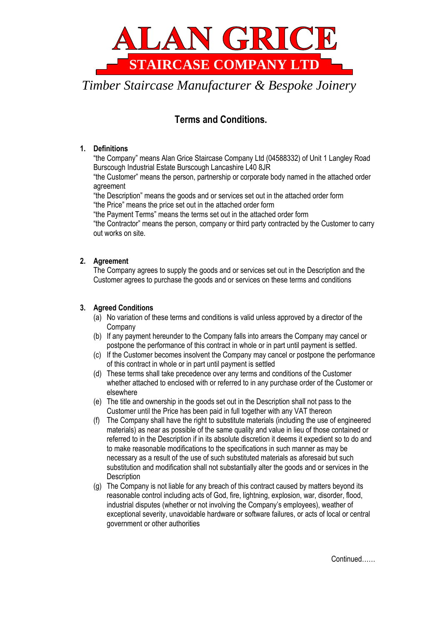

# **Terms and Conditions.**

## **1. Definitions**

"the Company" means Alan Grice Staircase Company Ltd (04588332) of Unit 1 Langley Road Burscough Industrial Estate Burscough Lancashire L40 8JR

"the Customer" means the person, partnership or corporate body named in the attached order agreement

"the Description" means the goods and or services set out in the attached order form "the Price" means the price set out in the attached order form

"the Payment Terms" means the terms set out in the attached order form

"the Contractor" means the person, company or third party contracted by the Customer to carry out works on site.

# **2. Agreement**

The Company agrees to supply the goods and or services set out in the Description and the Customer agrees to purchase the goods and or services on these terms and conditions

### **3. Agreed Conditions**

- (a) No variation of these terms and conditions is valid unless approved by a director of the Company
- (b) If any payment hereunder to the Company falls into arrears the Company may cancel or postpone the performance of this contract in whole or in part until payment is settled.
- (c) If the Customer becomes insolvent the Company may cancel or postpone the performance of this contract in whole or in part until payment is settled
- (d) These terms shall take precedence over any terms and conditions of the Customer whether attached to enclosed with or referred to in any purchase order of the Customer or elsewhere
- (e) The title and ownership in the goods set out in the Description shall not pass to the Customer until the Price has been paid in full together with any VAT thereon
- (f) The Company shall have the right to substitute materials (including the use of engineered materials) as near as possible of the same quality and value in lieu of those contained or referred to in the Description if in its absolute discretion it deems it expedient so to do and to make reasonable modifications to the specifications in such manner as may be necessary as a result of the use of such substituted materials as aforesaid but such substitution and modification shall not substantially alter the goods and or services in the **Description**
- (g) The Company is not liable for any breach of this contract caused by matters beyond its reasonable control including acts of God, fire, lightning, explosion, war, disorder, flood, industrial disputes (whether or not involving the Company's employees), weather of exceptional severity, unavoidable hardware or software failures, or acts of local or central government or other authorities

Continued……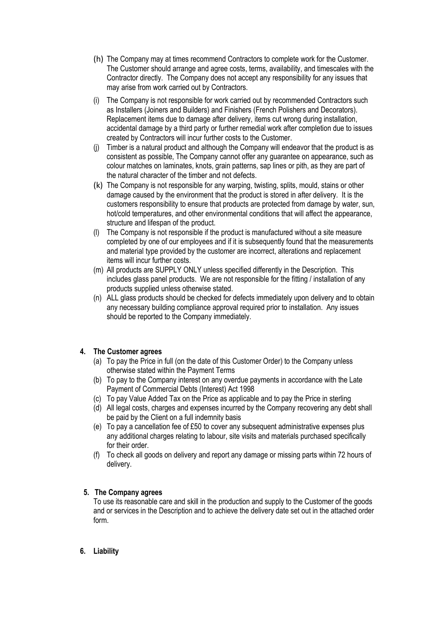- (h) The Company may at times recommend Contractors to complete work for the Customer. The Customer should arrange and agree costs, terms, availability, and timescales with the Contractor directly. The Company does not accept any responsibility for any issues that may arise from work carried out by Contractors.
- (i) The Company is not responsible for work carried out by recommended Contractors such as Installers (Joiners and Builders) and Finishers (French Polishers and Decorators). Replacement items due to damage after delivery, items cut wrong during installation, accidental damage by a third party or further remedial work after completion due to issues created by Contractors will incur further costs to the Customer.
- (j) Timber is a natural product and although the Company will endeavor that the product is as consistent as possible, The Company cannot offer any guarantee on appearance, such as colour matches on laminates, knots, grain patterns, sap lines or pith, as they are part of the natural character of the timber and not defects.
- (k) The Company is not responsible for any warping, twisting, splits, mould, stains or other damage caused by the environment that the product is stored in after delivery. It is the customers responsibility to ensure that products are protected from damage by water, sun, hot/cold temperatures, and other environmental conditions that will affect the appearance, structure and lifespan of the product.
- (l) The Company is not responsible if the product is manufactured without a site measure completed by one of our employees and if it is subsequently found that the measurements and material type provided by the customer are incorrect, alterations and replacement items will incur further costs.
- (m) All products are SUPPLY ONLY unless specified differently in the Description. This includes glass panel products. We are not responsible for the fitting / installation of any products supplied unless otherwise stated.
- (n) ALL glass products should be checked for defects immediately upon delivery and to obtain any necessary building compliance approval required prior to installation. Any issues should be reported to the Company immediately.

### **4. The Customer agrees**

- (a) To pay the Price in full (on the date of this Customer Order) to the Company unless otherwise stated within the Payment Terms
- (b) To pay to the Company interest on any overdue payments in accordance with the Late Payment of Commercial Debts (Interest) Act 1998
- (c) To pay Value Added Tax on the Price as applicable and to pay the Price in sterling
- (d) All legal costs, charges and expenses incurred by the Company recovering any debt shall be paid by the Client on a full indemnity basis
- (e) To pay a cancellation fee of £50 to cover any subsequent administrative expenses plus any additional charges relating to labour, site visits and materials purchased specifically for their order.
- (f) To check all goods on delivery and report any damage or missing parts within 72 hours of delivery.

# **5. The Company agrees**

To use its reasonable care and skill in the production and supply to the Customer of the goods and or services in the Description and to achieve the delivery date set out in the attached order form.

# **6. Liability**